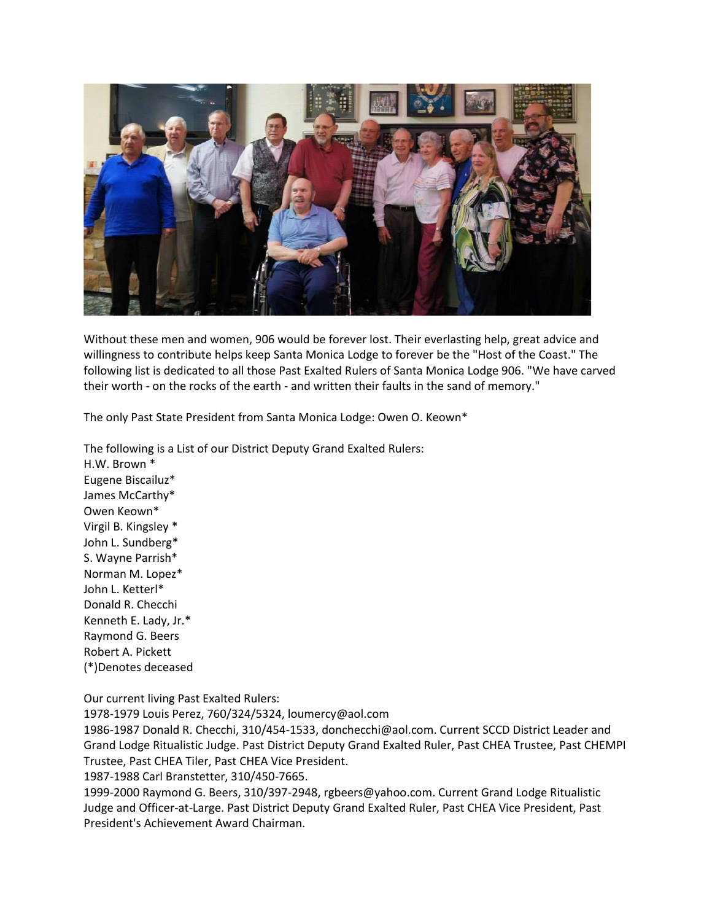

Without these men and women, 906 would be forever lost. Their everlasting help, great advice and willingness to contribute helps keep Santa Monica Lodge to forever be the "Host of the Coast." The following list is dedicated to all those Past Exalted Rulers of Santa Monica Lodge 906. "We have carved their worth - on the rocks of the earth - and written their faults in the sand of memory."

The only Past State President from Santa Monica Lodge: Owen O. Keown\*

The following is a List of our District Deputy Grand Exalted Rulers: H.W. Brown \* Eugene Biscailuz\* James McCarthy\* Owen Keown\* Virgil B. Kingsley \* John L. Sundberg\* S. Wayne Parrish\* Norman M. Lopez\* John L. Ketterl\* Donald R. Checchi Kenneth E. Lady, Jr.\* Raymond G. Beers Robert A. Pickett (\*)Denotes deceased

Our current living Past Exalted Rulers:

1978-1979 Louis Perez, 760/324/5324, loumercy@aol.com

1986-1987 Donald R. Checchi, 310/454-1533, donchecchi@aol.com. Current SCCD District Leader and Grand Lodge Ritualistic Judge. Past District Deputy Grand Exalted Ruler, Past CHEA Trustee, Past CHEMPI Trustee, Past CHEA Tiler, Past CHEA Vice President.

1987-1988 Carl Branstetter, 310/450-7665.

1999-2000 Raymond G. Beers, 310/397-2948, rgbeers@yahoo.com. Current Grand Lodge Ritualistic Judge and Officer-at-Large. Past District Deputy Grand Exalted Ruler, Past CHEA Vice President, Past President's Achievement Award Chairman.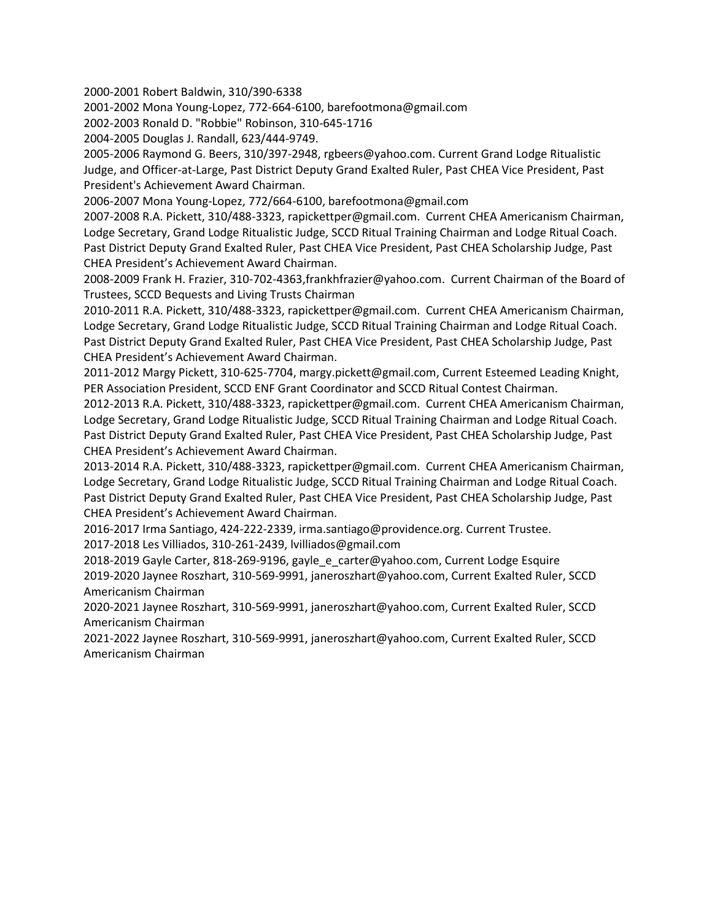2000-2001 Robert Baldwin, 310/390-6338

2001-2002 Mona Young-Lopez, 772-664-6100, barefootmona@gmail.com

2002-2003 Ronald D. "Robbie" Robinson, 310-645-1716

2004-2005 Douglas J. Randall, 623/444-9749.

2005-2006 Raymond G. Beers, 310/397-2948, rgbeers@yahoo.com. Current Grand Lodge Ritualistic Judge, and Officer-at-Large, Past District Deputy Grand Exalted Ruler, Past CHEA Vice President, Past President's Achievement Award Chairman.

2006-2007 Mona Young-Lopez, 772/664-6100, barefootmona@gmail.com

2007-2008 R.A. Pickett, 310/488-3323, rapickettper@gmail.com. Current CHEA Americanism Chairman, Lodge Secretary, Grand Lodge Ritualistic Judge, SCCD Ritual Training Chairman and Lodge Ritual Coach. Past District Deputy Grand Exalted Ruler, Past CHEA Vice President, Past CHEA Scholarship Judge, Past CHEA President's Achievement Award Chairman.

2008-2009 Frank H. Frazier, 310-702-4363,frankhfrazier@yahoo.com. Current Chairman of the Board of Trustees, SCCD Bequests and Living Trusts Chairman

2010-2011 R.A. Pickett, 310/488-3323, rapickettper@gmail.com. Current CHEA Americanism Chairman, Lodge Secretary, Grand Lodge Ritualistic Judge, SCCD Ritual Training Chairman and Lodge Ritual Coach. Past District Deputy Grand Exalted Ruler, Past CHEA Vice President, Past CHEA Scholarship Judge, Past CHEA President's Achievement Award Chairman.

2011-2012 Margy Pickett, 310-625-7704, margy.pickett@gmail.com, Current Esteemed Leading Knight, PER Association President, SCCD ENF Grant Coordinator and SCCD Ritual Contest Chairman.

2012-2013 R.A. Pickett, 310/488-3323, rapickettper@gmail.com. Current CHEA Americanism Chairman, Lodge Secretary, Grand Lodge Ritualistic Judge, SCCD Ritual Training Chairman and Lodge Ritual Coach. Past District Deputy Grand Exalted Ruler, Past CHEA Vice President, Past CHEA Scholarship Judge, Past CHEA President's Achievement Award Chairman.

2013-2014 R.A. Pickett, 310/488-3323, rapickettper@gmail.com. Current CHEA Americanism Chairman, Lodge Secretary, Grand Lodge Ritualistic Judge, SCCD Ritual Training Chairman and Lodge Ritual Coach. Past District Deputy Grand Exalted Ruler, Past CHEA Vice President, Past CHEA Scholarship Judge, Past CHEA President's Achievement Award Chairman.

2016-2017 Irma Santiago, 424-222-2339, irma.santiago@providence.org. Current Trustee.

2017-2018 Les Villiados, 310-261-2439, lvilliados@gmail.com

2018-2019 Gayle Carter, 818-269-9196, gayle\_e\_carter@yahoo.com, Current Lodge Esquire 2019-2020 Jaynee Roszhart, 310-569-9991, janeroszhart@yahoo.com, Current Exalted Ruler, SCCD Americanism Chairman

2020-2021 Jaynee Roszhart, 310-569-9991, janeroszhart@yahoo.com, Current Exalted Ruler, SCCD Americanism Chairman

2021-2022 Jaynee Roszhart, 310-569-9991, janeroszhart@yahoo.com, Current Exalted Ruler, SCCD Americanism Chairman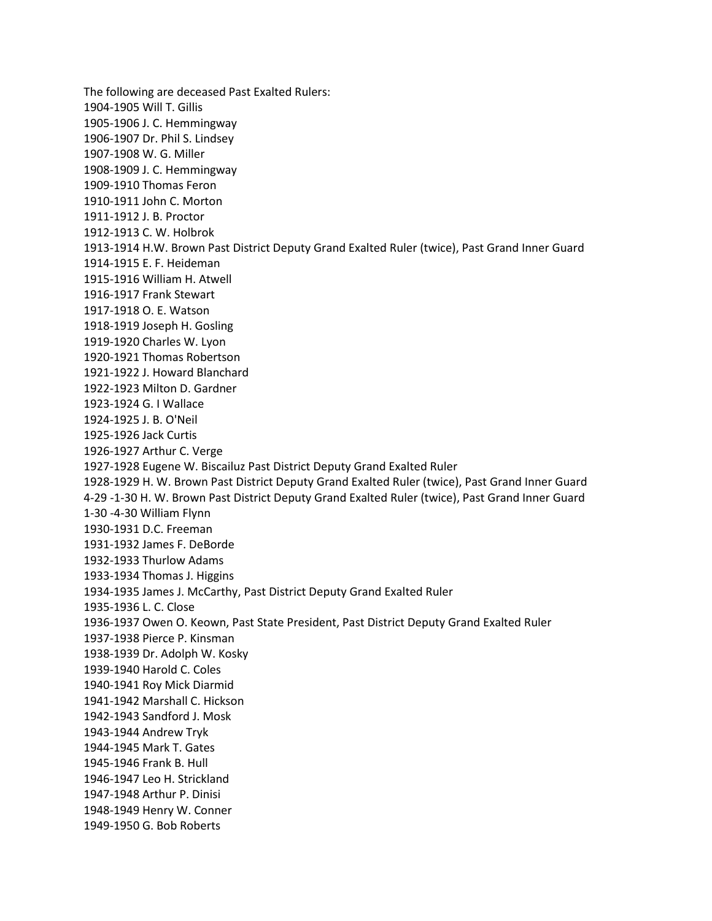The following are deceased Past Exalted Rulers: 1904-1905 Will T. Gillis 1905-1906 J. C. Hemmingway 1906-1907 Dr. Phil S. Lindsey 1907-1908 W. G. Miller 1908-1909 J. C. Hemmingway 1909-1910 Thomas Feron 1910-1911 John C. Morton 1911-1912 J. B. Proctor 1912-1913 C. W. Holbrok 1913-1914 H.W. Brown Past District Deputy Grand Exalted Ruler (twice), Past Grand Inner Guard 1914-1915 E. F. Heideman 1915-1916 William H. Atwell 1916-1917 Frank Stewart 1917-1918 O. E. Watson 1918-1919 Joseph H. Gosling 1919-1920 Charles W. Lyon 1920-1921 Thomas Robertson 1921-1922 J. Howard Blanchard 1922-1923 Milton D. Gardner 1923-1924 G. I Wallace 1924-1925 J. B. O'Neil 1925-1926 Jack Curtis 1926-1927 Arthur C. Verge 1927-1928 Eugene W. Biscailuz Past District Deputy Grand Exalted Ruler 1928-1929 H. W. Brown Past District Deputy Grand Exalted Ruler (twice), Past Grand Inner Guard 4-29 -1-30 H. W. Brown Past District Deputy Grand Exalted Ruler (twice), Past Grand Inner Guard 1-30 -4-30 William Flynn 1930-1931 D.C. Freeman 1931-1932 James F. DeBorde 1932-1933 Thurlow Adams 1933-1934 Thomas J. Higgins 1934-1935 James J. McCarthy, Past District Deputy Grand Exalted Ruler 1935-1936 L. C. Close 1936-1937 Owen O. Keown, Past State President, Past District Deputy Grand Exalted Ruler 1937-1938 Pierce P. Kinsman 1938-1939 Dr. Adolph W. Kosky 1939-1940 Harold C. Coles 1940-1941 Roy Mick Diarmid 1941-1942 Marshall C. Hickson 1942-1943 Sandford J. Mosk 1943-1944 Andrew Tryk 1944-1945 Mark T. Gates 1945-1946 Frank B. Hull 1946-1947 Leo H. Strickland 1947-1948 Arthur P. Dinisi 1948-1949 Henry W. Conner 1949-1950 G. Bob Roberts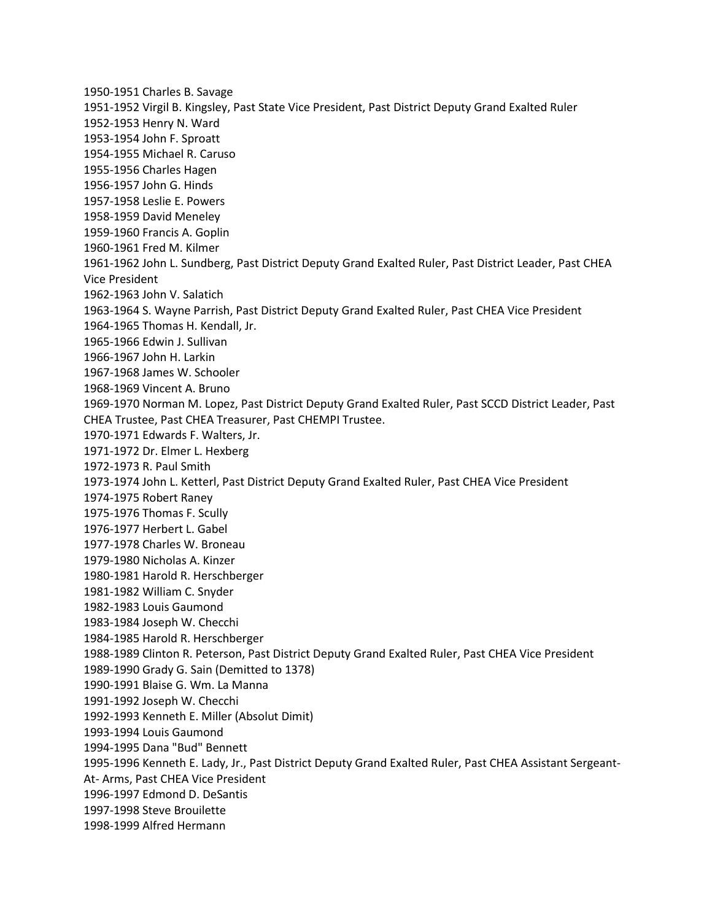1950-1951 Charles B. Savage 1951-1952 Virgil B. Kingsley, Past State Vice President, Past District Deputy Grand Exalted Ruler 1952-1953 Henry N. Ward 1953-1954 John F. Sproatt 1954-1955 Michael R. Caruso 1955-1956 Charles Hagen 1956-1957 John G. Hinds 1957-1958 Leslie E. Powers 1958-1959 David Meneley 1959-1960 Francis A. Goplin 1960-1961 Fred M. Kilmer 1961-1962 John L. Sundberg, Past District Deputy Grand Exalted Ruler, Past District Leader, Past CHEA Vice President 1962-1963 John V. Salatich 1963-1964 S. Wayne Parrish, Past District Deputy Grand Exalted Ruler, Past CHEA Vice President 1964-1965 Thomas H. Kendall, Jr. 1965-1966 Edwin J. Sullivan 1966-1967 John H. Larkin 1967-1968 James W. Schooler 1968-1969 Vincent A. Bruno 1969-1970 Norman M. Lopez, Past District Deputy Grand Exalted Ruler, Past SCCD District Leader, Past CHEA Trustee, Past CHEA Treasurer, Past CHEMPI Trustee. 1970-1971 Edwards F. Walters, Jr. 1971-1972 Dr. Elmer L. Hexberg 1972-1973 R. Paul Smith 1973-1974 John L. Ketterl, Past District Deputy Grand Exalted Ruler, Past CHEA Vice President 1974-1975 Robert Raney 1975-1976 Thomas F. Scully 1976-1977 Herbert L. Gabel 1977-1978 Charles W. Broneau 1979-1980 Nicholas A. Kinzer 1980-1981 Harold R. Herschberger 1981-1982 William C. Snyder 1982-1983 Louis Gaumond 1983-1984 Joseph W. Checchi 1984-1985 Harold R. Herschberger 1988-1989 Clinton R. Peterson, Past District Deputy Grand Exalted Ruler, Past CHEA Vice President 1989-1990 Grady G. Sain (Demitted to 1378) 1990-1991 Blaise G. Wm. La Manna 1991-1992 Joseph W. Checchi 1992-1993 Kenneth E. Miller (Absolut Dimit) 1993-1994 Louis Gaumond 1994-1995 Dana "Bud" Bennett 1995-1996 Kenneth E. Lady, Jr., Past District Deputy Grand Exalted Ruler, Past CHEA Assistant Sergeant-At- Arms, Past CHEA Vice President 1996-1997 Edmond D. DeSantis 1997-1998 Steve Brouilette 1998-1999 Alfred Hermann